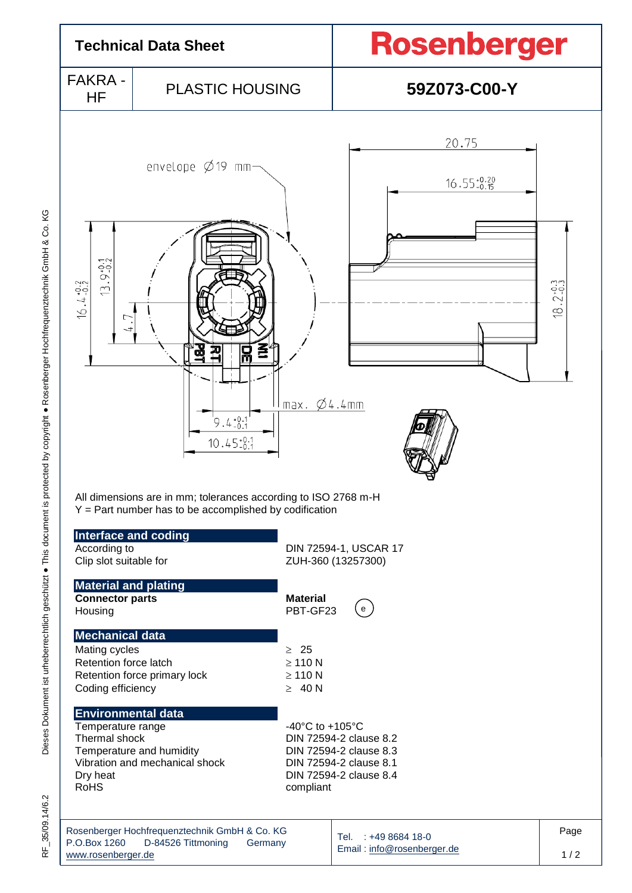

Dieses Dokument ist urheberrechtlich geschützt . This document is protected by copyright . Rosenberger Hochfrequenztechnik GmbH & Co. KG Dieses Dokument ist urheberrechtlich geschützt ● This document is protected by copyright ● Rosenberger Hochfrequenztechnik GmbH & Co. KG

35/09.14/6.2 RF\_35/09.14/6.2 눈